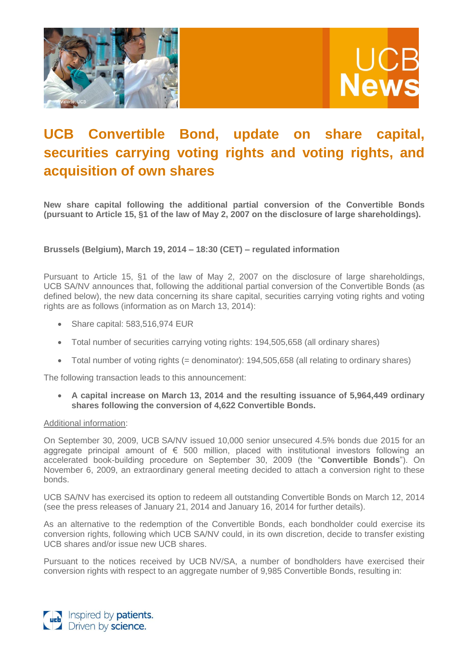



# **UCB Convertible Bond, update on share capital, securities carrying voting rights and voting rights, and acquisition of own shares**

**New share capital following the additional partial conversion of the Convertible Bonds (pursuant to Article 15, §1 of the law of May 2, 2007 on the disclosure of large shareholdings).**

**Brussels (Belgium), March 19, 2014 – 18:30 (CET) – regulated information**

Pursuant to Article 15, §1 of the law of May 2, 2007 on the disclosure of large shareholdings, UCB SA/NV announces that, following the additional partial conversion of the Convertible Bonds (as defined below), the new data concerning its share capital, securities carrying voting rights and voting rights are as follows (information as on March 13, 2014):

- Share capital: 583,516,974 EUR
- Total number of securities carrying voting rights: 194,505,658 (all ordinary shares)
- Total number of voting rights (= denominator): 194,505,658 (all relating to ordinary shares)

The following transaction leads to this announcement:

 **A capital increase on March 13, 2014 and the resulting issuance of 5,964,449 ordinary shares following the conversion of 4,622 Convertible Bonds.**

## Additional information:

On September 30, 2009, UCB SA/NV issued 10,000 senior unsecured 4.5% bonds due 2015 for an aggregate principal amount of  $\epsilon$  500 million, placed with institutional investors following an accelerated book-building procedure on September 30, 2009 (the "**Convertible Bonds**"). On November 6, 2009, an extraordinary general meeting decided to attach a conversion right to these bonds.

UCB SA/NV has exercised its option to redeem all outstanding Convertible Bonds on March 12, 2014 (see the press releases of January 21, 2014 and January 16, 2014 for further details).

As an alternative to the redemption of the Convertible Bonds, each bondholder could exercise its conversion rights, following which UCB SA/NV could, in its own discretion, decide to transfer existing UCB shares and/or issue new UCB shares.

Pursuant to the notices received by UCB NV/SA, a number of bondholders have exercised their conversion rights with respect to an aggregate number of 9,985 Convertible Bonds, resulting in:

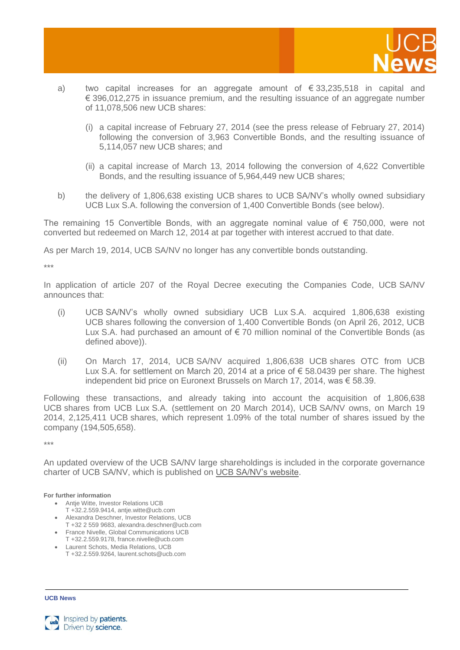

- a) two capital increases for an aggregate amount of  $\epsilon$  33,235,518 in capital and € 396,012,275 in issuance premium, and the resulting issuance of an aggregate number of 11,078,506 new UCB shares:
	- (i) a capital increase of February 27, 2014 (see the press release of February 27, 2014) following the conversion of 3,963 Convertible Bonds, and the resulting issuance of 5,114,057 new UCB shares; and
	- (ii) a capital increase of March 13, 2014 following the conversion of 4,622 Convertible Bonds, and the resulting issuance of 5,964,449 new UCB shares;
- b) the delivery of 1,806,638 existing UCB shares to UCB SA/NV's wholly owned subsidiary UCB Lux S.A. following the conversion of 1,400 Convertible Bonds (see below).

The remaining 15 Convertible Bonds, with an aggregate nominal value of  $\epsilon$  750,000, were not converted but redeemed on March 12, 2014 at par together with interest accrued to that date.

As per March 19, 2014, UCB SA/NV no longer has any convertible bonds outstanding.

\*\*\*

In application of article 207 of the Royal Decree executing the Companies Code, UCB SA/NV announces that:

- (i) UCB SA/NV's wholly owned subsidiary UCB Lux S.A. acquired 1,806,638 existing UCB shares following the conversion of 1,400 Convertible Bonds (on April 26, 2012, UCB Lux S.A. had purchased an amount of €70 million nominal of the Convertible Bonds (as defined above)).
- (ii) On March 17, 2014, UCB SA/NV acquired 1,806,638 UCB shares OTC from UCB Lux S.A. for settlement on March 20, 2014 at a price of € 58.0439 per share. The highest independent bid price on Euronext Brussels on March 17, 2014, was € 58.39.

Following these transactions, and already taking into account the acquisition of 1,806,638 UCB shares from UCB Lux S.A. (settlement on 20 March 2014), UCB SA/NV owns, on March 19 2014, 2,125,411 UCB shares, which represent 1.09% of the total number of shares issued by the company (194,505,658).

\*\*\*

An updated overview of the UCB SA/NV large shareholdings is included in the corporate governance charter of UCB SA/NV, which is published on UCB [SA/NV's website.](http://www.ucb.com/investors/Governance/Principles-codes-and-guidelines)

## **For further information**

- Antje Witte, Investor Relations UCB
- T +32.2.559.9414, antje.witte@ucb.com Alexandra Deschner, Investor Relations, UCB
- T +32 2 559 9683, alexandra.deschner@ucb.com
- France Nivelle, Global Communications UCB
- T +32.2.559.9178, france.nivelle@ucb.com
- Laurent Schots, Media Relations, UCB T +32.2.559.9264, laurent.schots@ucb.com

**UCB News**